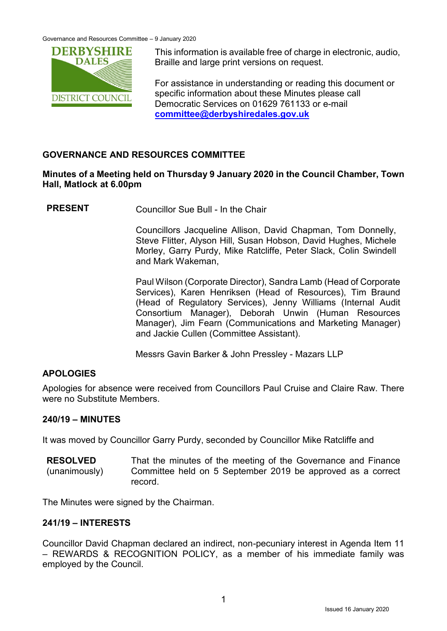

This information is available free of charge in electronic, audio, Braille and large print versions on request.

For assistance in understanding or reading this document or specific information about these Minutes please call Democratic Services on 01629 761133 or e-mail **[committee@derbyshiredales.gov.uk](mailto:committee@derbyshiredales.gov.uk)**

# **GOVERNANCE AND RESOURCES COMMITTEE**

# **Minutes of a Meeting held on Thursday 9 January 2020 in the Council Chamber, Town Hall, Matlock at 6.00pm**

**PRESENT** Councillor Sue Bull - In the Chair

Councillors Jacqueline Allison, David Chapman, Tom Donnelly, Steve Flitter, Alyson Hill, Susan Hobson, David Hughes, Michele Morley, Garry Purdy, Mike Ratcliffe, Peter Slack, Colin Swindell and Mark Wakeman,

Paul Wilson (Corporate Director), Sandra Lamb (Head of Corporate Services), Karen Henriksen (Head of Resources), Tim Braund (Head of Regulatory Services), Jenny Williams (Internal Audit Consortium Manager), Deborah Unwin (Human Resources Manager), Jim Fearn (Communications and Marketing Manager) and Jackie Cullen (Committee Assistant).

Messrs Gavin Barker & John Pressley - Mazars LLP

# **APOLOGIES**

Apologies for absence were received from Councillors Paul Cruise and Claire Raw. There were no Substitute Members.

### **240/19 – MINUTES**

It was moved by Councillor Garry Purdy, seconded by Councillor Mike Ratcliffe and

**RESOLVED** (unanimously) That the minutes of the meeting of the Governance and Finance Committee held on 5 September 2019 be approved as a correct record.

The Minutes were signed by the Chairman.

# **241/19 – INTERESTS**

Councillor David Chapman declared an indirect, non-pecuniary interest in Agenda Item 11 – REWARDS & RECOGNITION POLICY, as a member of his immediate family was employed by the Council.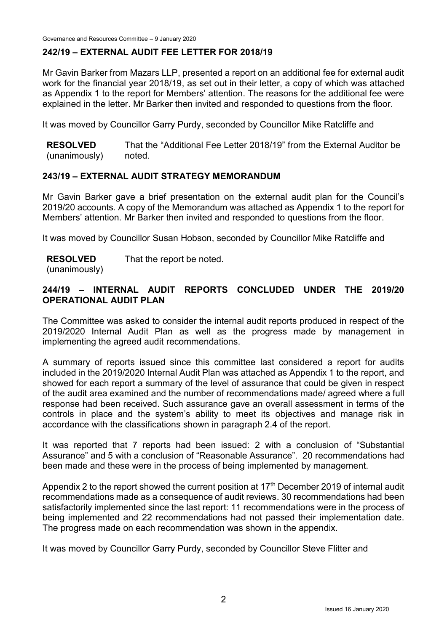# **242/19 – EXTERNAL AUDIT FEE LETTER FOR 2018/19**

Mr Gavin Barker from Mazars LLP, presented a report on an additional fee for external audit work for the financial year 2018/19, as set out in their letter, a copy of which was attached as Appendix 1 to the report for Members' attention. The reasons for the additional fee were explained in the letter. Mr Barker then invited and responded to questions from the floor.

It was moved by Councillor Garry Purdy, seconded by Councillor Mike Ratcliffe and

**RESOLVED** (unanimously) That the "Additional Fee Letter 2018/19" from the External Auditor be noted.

### **243/19 – EXTERNAL AUDIT STRATEGY MEMORANDUM**

Mr Gavin Barker gave a brief presentation on the external audit plan for the Council's 2019/20 accounts. A copy of the Memorandum was attached as Appendix 1 to the report for Members' attention. Mr Barker then invited and responded to questions from the floor.

It was moved by Councillor Susan Hobson, seconded by Councillor Mike Ratcliffe and

**RESOLVED** That the report be noted.

(unanimously)

# **244/19 – INTERNAL AUDIT REPORTS CONCLUDED UNDER THE 2019/20 OPERATIONAL AUDIT PLAN**

The Committee was asked to consider the internal audit reports produced in respect of the 2019/2020 Internal Audit Plan as well as the progress made by management in implementing the agreed audit recommendations.

A summary of reports issued since this committee last considered a report for audits included in the 2019/2020 Internal Audit Plan was attached as Appendix 1 to the report, and showed for each report a summary of the level of assurance that could be given in respect of the audit area examined and the number of recommendations made/ agreed where a full response had been received. Such assurance gave an overall assessment in terms of the controls in place and the system's ability to meet its objectives and manage risk in accordance with the classifications shown in paragraph 2.4 of the report.

It was reported that 7 reports had been issued: 2 with a conclusion of "Substantial Assurance" and 5 with a conclusion of "Reasonable Assurance". 20 recommendations had been made and these were in the process of being implemented by management.

Appendix 2 to the report showed the current position at  $17<sup>th</sup>$  December 2019 of internal audit recommendations made as a consequence of audit reviews. 30 recommendations had been satisfactorily implemented since the last report: 11 recommendations were in the process of being implemented and 22 recommendations had not passed their implementation date. The progress made on each recommendation was shown in the appendix.

It was moved by Councillor Garry Purdy, seconded by Councillor Steve Flitter and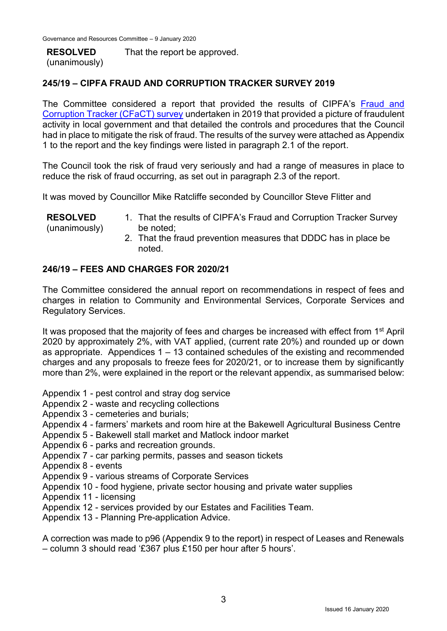#### **RESOLVED** (unanimously)

That the report be approved.

# **245/19 – CIPFA FRAUD AND CORRUPTION TRACKER SURVEY 2019**

The Committee considered a report that provided the results of CIPFA's [Fraud and](file:///S:/Internal%20Audit/NEDDC/Jenny/Fraud/Fraud%20Reports/CIPFA%20Fraud%20and%20Corruption%20Tracker%20Summary%20Report%202017.pdf)  [Corruption Tracker \(CFaCT\) survey](file:///S:/Internal%20Audit/NEDDC/Jenny/Fraud/Fraud%20Reports/CIPFA%20Fraud%20and%20Corruption%20Tracker%20Summary%20Report%202017.pdf) undertaken in 2019 that provided a picture of fraudulent activity in local government and that detailed the controls and procedures that the Council had in place to mitigate the risk of fraud. The results of the survey were attached as Appendix 1 to the report and the key findings were listed in paragraph 2.1 of the report.

The Council took the risk of fraud very seriously and had a range of measures in place to reduce the risk of fraud occurring, as set out in paragraph 2.3 of the report.

It was moved by Councillor Mike Ratcliffe seconded by Councillor Steve Flitter and

| <b>RESOLVED</b> | 1. That the results of CIPFA's Fraud and Corruption Tracker Survey |
|-----------------|--------------------------------------------------------------------|
| (unanimously)   | be noted:                                                          |
|                 | 2. That the fraud prevention measures that DDDC has in place be    |
|                 | noted.                                                             |

### **246/19 – FEES AND CHARGES FOR 2020/21**

The Committee considered the annual report on recommendations in respect of fees and charges in relation to Community and Environmental Services, Corporate Services and Regulatory Services.

It was proposed that the majority of fees and charges be increased with effect from 1<sup>st</sup> April 2020 by approximately 2%, with VAT applied, (current rate 20%) and rounded up or down as appropriate. Appendices 1 – 13 contained schedules of the existing and recommended charges and any proposals to freeze fees for 2020/21, or to increase them by significantly more than 2%, were explained in the report or the relevant appendix, as summarised below:

- Appendix 1 pest control and stray dog service
- Appendix 2 waste and recycling collections
- Appendix 3 cemeteries and burials;
- Appendix 4 farmers' markets and room hire at the Bakewell Agricultural Business Centre
- Appendix 5 Bakewell stall market and Matlock indoor market
- Appendix 6 parks and recreation grounds.
- Appendix 7 car parking permits, passes and season tickets
- Appendix 8 events
- Appendix 9 various streams of Corporate Services
- Appendix 10 food hygiene, private sector housing and private water supplies
- Appendix 11 licensing
- Appendix 12 services provided by our Estates and Facilities Team.
- Appendix 13 Planning Pre-application Advice.

A correction was made to p96 (Appendix 9 to the report) in respect of Leases and Renewals – column 3 should read '£367 plus £150 per hour after 5 hours'.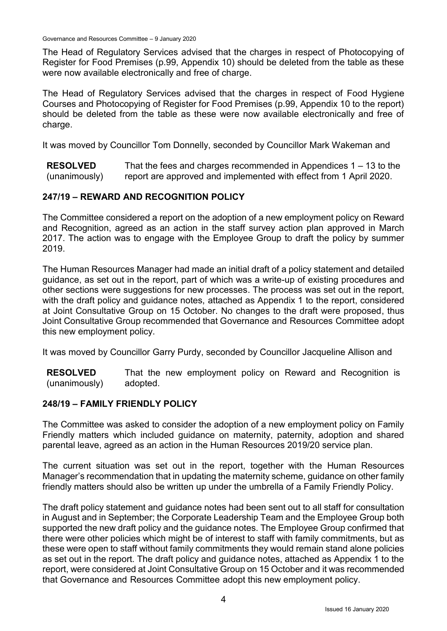Governance and Resources Committee – 9 January 2020

The Head of Regulatory Services advised that the charges in respect of Photocopying of Register for Food Premises (p.99, Appendix 10) should be deleted from the table as these were now available electronically and free of charge.

The Head of Regulatory Services advised that the charges in respect of Food Hygiene Courses and Photocopying of Register for Food Premises (p.99, Appendix 10 to the report) should be deleted from the table as these were now available electronically and free of charge.

It was moved by Councillor Tom Donnelly, seconded by Councillor Mark Wakeman and

**RESOLVED** (unanimously) That the fees and charges recommended in Appendices 1 – 13 to the report are approved and implemented with effect from 1 April 2020.

# **247/19 – REWARD AND RECOGNITION POLICY**

The Committee considered a report on the adoption of a new employment policy on Reward and Recognition, agreed as an action in the staff survey action plan approved in March 2017. The action was to engage with the Employee Group to draft the policy by summer 2019.

The Human Resources Manager had made an initial draft of a policy statement and detailed guidance, as set out in the report, part of which was a write-up of existing procedures and other sections were suggestions for new processes. The process was set out in the report, with the draft policy and guidance notes, attached as Appendix 1 to the report, considered at Joint Consultative Group on 15 October. No changes to the draft were proposed, thus Joint Consultative Group recommended that Governance and Resources Committee adopt this new employment policy.

It was moved by Councillor Garry Purdy, seconded by Councillor Jacqueline Allison and

**RESOLVED** (unanimously) That the new employment policy on Reward and Recognition is adopted.

### **248/19 – FAMILY FRIENDLY POLICY**

The Committee was asked to consider the adoption of a new employment policy on Family Friendly matters which included guidance on maternity, paternity, adoption and shared parental leave, agreed as an action in the Human Resources 2019/20 service plan.

The current situation was set out in the report, together with the Human Resources Manager's recommendation that in updating the maternity scheme, guidance on other family friendly matters should also be written up under the umbrella of a Family Friendly Policy.

The draft policy statement and guidance notes had been sent out to all staff for consultation in August and in September; the Corporate Leadership Team and the Employee Group both supported the new draft policy and the guidance notes. The Employee Group confirmed that there were other policies which might be of interest to staff with family commitments, but as these were open to staff without family commitments they would remain stand alone policies as set out in the report. The draft policy and guidance notes, attached as Appendix 1 to the report, were considered at Joint Consultative Group on 15 October and it was recommended that Governance and Resources Committee adopt this new employment policy.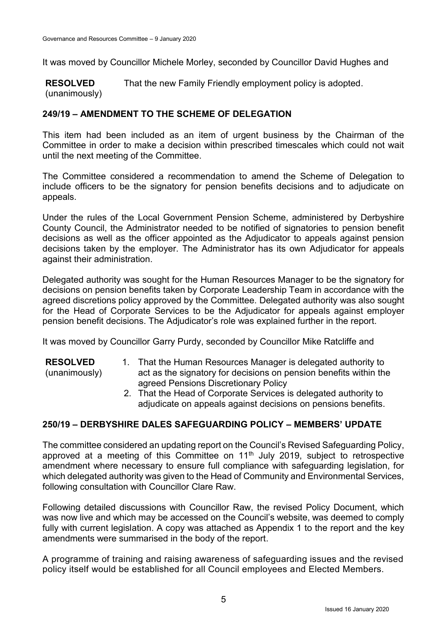It was moved by Councillor Michele Morley, seconded by Councillor David Hughes and

**RESOLVED** (unanimously) That the new Family Friendly employment policy is adopted.

# **249/19 – AMENDMENT TO THE SCHEME OF DELEGATION**

This item had been included as an item of urgent business by the Chairman of the Committee in order to make a decision within prescribed timescales which could not wait until the next meeting of the Committee.

The Committee considered a recommendation to amend the Scheme of Delegation to include officers to be the signatory for pension benefits decisions and to adjudicate on appeals.

Under the rules of the Local Government Pension Scheme, administered by Derbyshire County Council, the Administrator needed to be notified of signatories to pension benefit decisions as well as the officer appointed as the Adjudicator to appeals against pension decisions taken by the employer. The Administrator has its own Adjudicator for appeals against their administration.

Delegated authority was sought for the Human Resources Manager to be the signatory for decisions on pension benefits taken by Corporate Leadership Team in accordance with the agreed discretions policy approved by the Committee. Delegated authority was also sought for the Head of Corporate Services to be the Adjudicator for appeals against employer pension benefit decisions. The Adjudicator's role was explained further in the report.

It was moved by Councillor Garry Purdy, seconded by Councillor Mike Ratcliffe and

- **RESOLVED** (unanimously) 1. That the Human Resources Manager is delegated authority to act as the signatory for decisions on pension benefits within the agreed Pensions Discretionary Policy
	- 2. That the Head of Corporate Services is delegated authority to adjudicate on appeals against decisions on pensions benefits.

# **250/19 – DERBYSHIRE DALES SAFEGUARDING POLICY – MEMBERS' UPDATE**

The committee considered an updating report on the Council's Revised Safeguarding Policy, approved at a meeting of this Committee on 11th July 2019, subject to retrospective amendment where necessary to ensure full compliance with safeguarding legislation, for which delegated authority was given to the Head of Community and Environmental Services, following consultation with Councillor Clare Raw.

Following detailed discussions with Councillor Raw, the revised Policy Document, which was now live and which may be accessed on the Council's website, was deemed to comply fully with current legislation. A copy was attached as Appendix 1 to the report and the key amendments were summarised in the body of the report.

A programme of training and raising awareness of safeguarding issues and the revised policy itself would be established for all Council employees and Elected Members.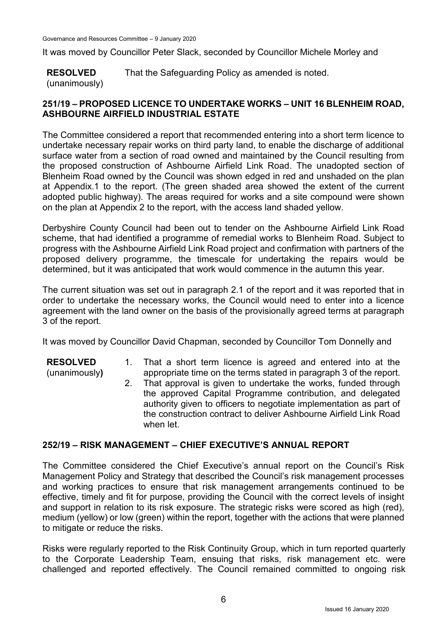It was moved by Councillor Peter Slack, seconded by Councillor Michele Morley and

**RESOLVED** That the Safeguarding Policy as amended is noted.

(unanimously)

# **251/19 – PROPOSED LICENCE TO UNDERTAKE WORKS – UNIT 16 BLENHEIM ROAD, ASHBOURNE AIRFIELD INDUSTRIAL ESTATE**

The Committee considered a report that recommended entering into a short term licence to undertake necessary repair works on third party land, to enable the discharge of additional surface water from a section of road owned and maintained by the Council resulting from the proposed construction of Ashbourne Airfield Link Road. The unadopted section of Blenheim Road owned by the Council was shown edged in red and unshaded on the plan at Appendix.1 to the report. (The green shaded area showed the extent of the current adopted public highway). The areas required for works and a site compound were shown on the plan at Appendix 2 to the report, with the access land shaded yellow.

Derbyshire County Council had been out to tender on the Ashbourne Airfield Link Road scheme, that had identified a programme of remedial works to Blenheim Road. Subject to progress with the Ashbourne Airfield Link Road project and confirmation with partners of the proposed delivery programme, the timescale for undertaking the repairs would be determined, but it was anticipated that work would commence in the autumn this year.

The current situation was set out in paragraph 2.1 of the report and it was reported that in order to undertake the necessary works, the Council would need to enter into a licence agreement with the land owner on the basis of the provisionally agreed terms at paragraph 3 of the report.

It was moved by Councillor David Chapman, seconded by Councillor Tom Donnelly and

**RESOLVED**

- (unanimously**)**
- 1. That a short term licence is agreed and entered into at the appropriate time on the terms stated in paragraph 3 of the report.
- 2. That approval is given to undertake the works, funded through the approved Capital Programme contribution, and delegated authority given to officers to negotiate implementation as part of the construction contract to deliver Ashbourne Airfield Link Road when let.

# **252/19 – RISK MANAGEMENT – CHIEF EXECUTIVE'S ANNUAL REPORT**

The Committee considered the Chief Executive's annual report on the Council's Risk Management Policy and Strategy that described the Council's risk management processes and working practices to ensure that risk management arrangements continued to be effective, timely and fit for purpose, providing the Council with the correct levels of insight and support in relation to its risk exposure. The strategic risks were scored as high (red), medium (yellow) or low (green) within the report, together with the actions that were planned to mitigate or reduce the risks.

Risks were regularly reported to the Risk Continuity Group, which in turn reported quarterly to the Corporate Leadership Team, ensuing that risks, risk management etc. were challenged and reported effectively. The Council remained committed to ongoing risk